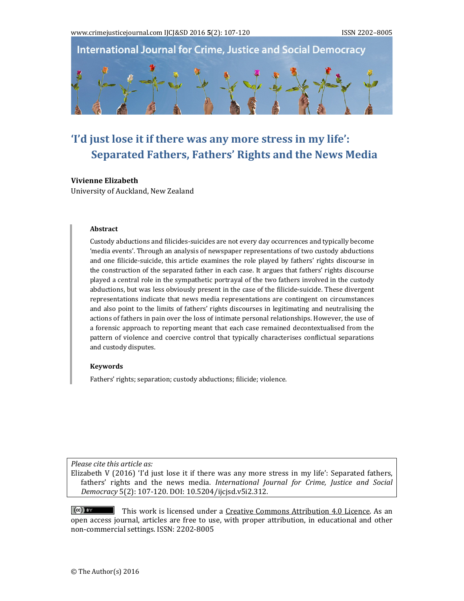

# **'I'd just lose it if there was any more stress in my life': Separated Fathers, Fathers' Rights and the News Media**

#### **Vivienne Elizabeth**

University of Auckland, New Zealand

#### **Abstract**

Custody abductions and filicides-suicides are not every day occurrences and typically become 'media events'. Through an analysis of newspaper representations of two custody abductions and one filicide-suicide, this article examines the role played by fathers' rights discourse in the construction of the separated father in each case. It argues that fathers' rights discourse played a central role in the sympathetic portrayal of the two fathers involved in the custody abductions, but was less obviously present in the case of the filicide-suicide. These divergent representations indicate that news media representations are contingent on circumstances and also point to the limits of fathers' rights discourses in legitimating and neutralising the actions of fathers in pain over the loss of intimate personal relationships. However, the use of a forensic approach to reporting meant that each case remained decontextualised from the pattern of violence and coercive control that typically characterises conflictual separations and custody disputes.

#### **Keywords**

Fathers' rights; separation; custody abductions; filicide; violence.

*Please cite this article as:*

Elizabeth V  $(2016)$  'I'd just lose it if there was any more stress in my life': Separated fathers, fathers' rights and the news media. *International Journal for Crime, Justice and Social Democracy* 5(2): 107‐120. DOI: 10.5204/ijcjsd.v5i2.312. 

 $(cc)$  BY This work is licensed under a Creative Commons Attribution 4.0 Licence. As an open access journal, articles are free to use, with proper attribution, in educational and other non-commercial settings. ISSN: 2202-8005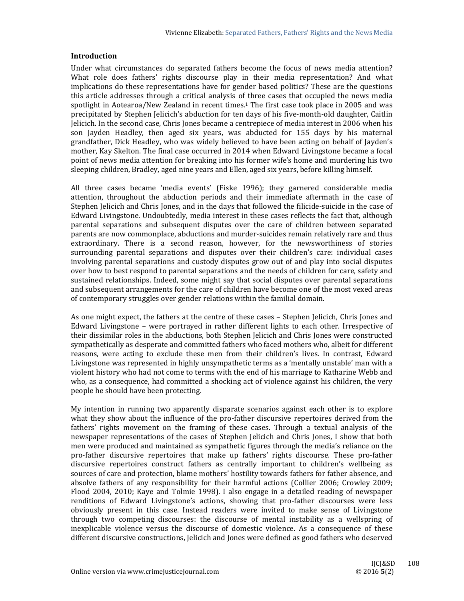#### **Introduction**

Under what circumstances do separated fathers become the focus of news media attention? What role does fathers' rights discourse play in their media representation? And what implications do these representations have for gender based politics? These are the questions this article addresses through a critical analysis of three cases that occupied the news media spotlight in Aotearoa/New Zealand in recent times.<sup>1</sup> The first case took place in 2005 and was precipitated by Stephen Jelicich's abduction for ten days of his five-month-old daughter, Caitlin Jelicich. In the second case, Chris Jones became a centrepiece of media interest in 2006 when his son Jayden Headley, then aged six years, was abducted for 155 days by his maternal grandfather, Dick Headley, who was widely believed to have been acting on behalf of Jayden's mother, Kay Skelton. The final case occurred in 2014 when Edward Livingstone became a focal point of news media attention for breaking into his former wife's home and murdering his two sleeping children, Bradley, aged nine years and Ellen, aged six years, before killing himself.

All three cases became 'media events' (Fiske 1996); they garnered considerable media attention, throughout the abduction periods and their immediate aftermath in the case of Stephen Jelicich and Chris Jones, and in the days that followed the filicide-suicide in the case of Edward Livingstone. Undoubtedly, media interest in these cases reflects the fact that, although parental separations and subsequent disputes over the care of children between separated parents are now commonplace, abductions and murder-suicides remain relatively rare and thus extraordinary. There is a second reason, however, for the newsworthiness of stories surrounding parental separations and disputes over their children's care: individual cases involving parental separations and custody disputes grow out of and play into social disputes over how to best respond to parental separations and the needs of children for care, safety and sustained relationships. Indeed, some might say that social disputes over parental separations and subsequent arrangements for the care of children have become one of the most vexed areas of contemporary struggles over gender relations within the familial domain.

As one might expect, the fathers at the centre of these cases – Stephen Jelicich, Chris Jones and Edward Livingstone - were portrayed in rather different lights to each other. Irrespective of their dissimilar roles in the abductions, both Stephen Jelicich and Chris Jones were constructed sympathetically as desperate and committed fathers who faced mothers who, albeit for different reasons, were acting to exclude these men from their children's lives. In contrast, Edward Livingstone was represented in highly unsympathetic terms as a 'mentally unstable' man with a violent history who had not come to terms with the end of his marriage to Katharine Webb and who, as a consequence, had committed a shocking act of violence against his children, the very people he should have been protecting.

My intention in running two apparently disparate scenarios against each other is to explore what they show about the influence of the pro-father discursive repertoires derived from the fathers' rights movement on the framing of these cases. Through a textual analysis of the newspaper representations of the cases of Stephen Jelicich and Chris Jones, I show that both men were produced and maintained as sympathetic figures through the media's reliance on the pro-father discursive repertoires that make up fathers' rights discourse. These pro-father discursive repertoires construct fathers as centrally important to children's wellbeing as sources of care and protection, blame mothers' hostility towards fathers for father absence, and absolve fathers of any responsibility for their harmful actions (Collier 2006; Crowley 2009; Flood 2004, 2010; Kaye and Tolmie 1998). I also engage in a detailed reading of newspaper renditions of Edward Livingstone's actions, showing that pro-father discourses were less obviously present in this case. Instead readers were invited to make sense of Livingstone through two competing discourses: the discourse of mental instability as a wellspring of inexplicable violence versus the discourse of domestic violence. As a consequence of these different discursive constructions, Jelicich and Jones were defined as good fathers who deserved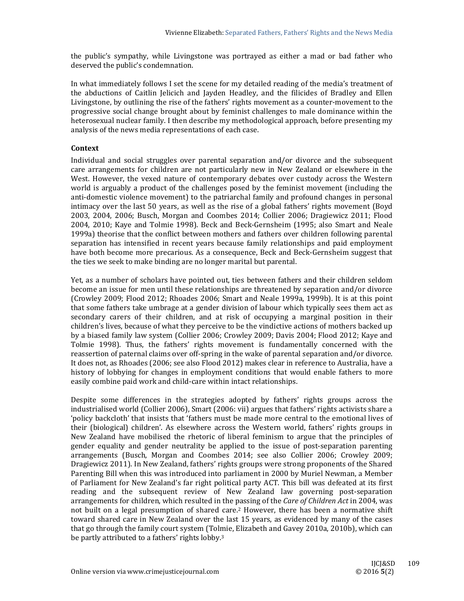the public's sympathy, while Livingstone was portrayed as either a mad or bad father who deserved the public's condemnation.

In what immediately follows I set the scene for my detailed reading of the media's treatment of the abductions of Caitlin Jelicich and Jayden Headley, and the filicides of Bradley and Ellen Livingstone, by outlining the rise of the fathers' rights movement as a counter-movement to the progressive social change brought about by feminist challenges to male dominance within the heterosexual nuclear family. I then describe my methodological approach, before presenting my analysis of the news media representations of each case.

# **Context**

Individual and social struggles over parental separation and/or divorce and the subsequent care arrangements for children are not particularly new in New Zealand or elsewhere in the West. However, the vexed nature of contemporary debates over custody across the Western world is arguably a product of the challenges posed by the feminist movement (including the anti-domestic violence movement) to the patriarchal family and profound changes in personal intimacy over the last 50 years, as well as the rise of a global fathers' rights movement (Boyd 2003, 2004, 2006; Busch, Morgan and Coombes 2014; Collier 2006; Dragiewicz 2011; Flood 2004, 2010; Kaye and Tolmie 1998). Beck and Beck-Gernsheim (1995; also Smart and Neale 1999a) theorise that the conflict between mothers and fathers over children following parental separation has intensified in recent years because family relationships and paid employment have both become more precarious. As a consequence, Beck and Beck-Gernsheim suggest that the ties we seek to make binding are no longer marital but parental.

Yet, as a number of scholars have pointed out, ties between fathers and their children seldom become an issue for men until these relationships are threatened by separation and/or divorce (Crowley 2009; Flood 2012; Rhoades 2006; Smart and Neale 1999a, 1999b). It is at this point that some fathers take umbrage at a gender division of labour which typically sees them act as secondary carers of their children, and at risk of occupying a marginal position in their children's lives, because of what they perceive to be the vindictive actions of mothers backed up by a biased family law system (Collier 2006; Crowley 2009; Davis 2004; Flood 2012; Kaye and Tolmie 1998). Thus, the fathers' rights movement is fundamentally concerned with the reassertion of paternal claims over off-spring in the wake of parental separation and/or divorce. It does not, as Rhoades (2006; see also Flood 2012) makes clear in reference to Australia, have a history of lobbying for changes in employment conditions that would enable fathers to more easily combine paid work and child-care within intact relationships.

Despite some differences in the strategies adopted by fathers' rights groups across the industrialised world (Collier 2006), Smart (2006: vii) argues that fathers' rights activists share a 'policy backcloth' that insists that 'fathers must be made more central to the emotional lives of their (biological) children'. As elsewhere across the Western world, fathers' rights groups in New Zealand have mobilised the rhetoric of liberal feminism to argue that the principles of gender equality and gender neutrality be applied to the issue of post-separation parenting arrangements (Busch, Morgan and Coombes 2014; see also Collier 2006; Crowley 2009; Dragiewicz 2011). In New Zealand, fathers' rights groups were strong proponents of the Shared Parenting Bill when this was introduced into parliament in 2000 by Muriel Newman, a Member of Parliament for New Zealand's far right political party ACT. This bill was defeated at its first reading and the subsequent review of New Zealand law governing post-separation arrangements for children, which resulted in the passing of the *Care of Children Act* in 2004, was not built on a legal presumption of shared care.<sup>2</sup> However, there has been a normative shift toward shared care in New Zealand over the last 15 years, as evidenced by many of the cases that go through the family court system (Tolmie, Elizabeth and Gavey 2010a, 2010b), which can be partly attributed to a fathers' rights lobby.<sup>3</sup>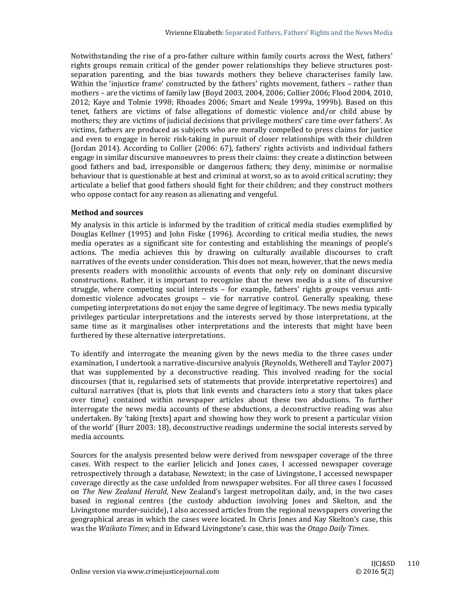Notwithstanding the rise of a pro-father culture within family courts across the West, fathers' rights groups remain critical of the gender power relationships they believe structures postseparation parenting, and the bias towards mothers they believe characterises family law. Within the 'injustice frame' constructed by the fathers' rights movement, fathers – rather than mothers - are the victims of family law (Boyd 2003, 2004, 2006; Collier 2006; Flood 2004, 2010, 2012; Kaye and Tolmie 1998; Rhoades 2006; Smart and Neale 1999a, 1999b). Based on this tenet, fathers are victims of false allegations of domestic violence and/or child abuse by mothers; they are victims of judicial decisions that privilege mothers' care time over fathers'. As victims, fathers are produced as subjects who are morally compelled to press claims for justice and even to engage in heroic risk-taking in pursuit of closer relationships with their children (Jordan 2014). According to Collier  $(2006: 67)$ , fathers' rights activists and individual fathers engage in similar discursive manoeuvres to press their claims: they create a distinction between good fathers and bad, irresponsible or dangerous fathers; they deny, minimise or normalise behaviour that is questionable at best and criminal at worst, so as to avoid critical scrutiny; they articulate a belief that good fathers should fight for their children; and they construct mothers who oppose contact for any reason as alienating and vengeful.

## **Method and sources**

My analysis in this article is informed by the tradition of critical media studies exemplified by Douglas Kellner (1995) and John Fiske (1996). According to critical media studies, the news media operates as a significant site for contesting and establishing the meanings of people's actions. The media achieves this by drawing on culturally available discourses to craft narratives of the events under consideration. This does not mean, however, that the news media presents readers with monolithic accounts of events that only rely on dominant discursive constructions. Rather, it is important to recognise that the news media is a site of discursive struggle, where competing social interests  $-$  for example, fathers' rights groups versus antidomestic violence advocates groups – vie for narrative control. Generally speaking, these competing interpretations do not enjoy the same degree of legitimacy. The news media typically privileges particular interpretations and the interests served by those interpretations, at the same time as it marginalises other interpretations and the interests that might have been furthered by these alternative interpretations.

To identify and interrogate the meaning given by the news media to the three cases under examination, I undertook a narrative-discursive analysis (Reynolds, Wetherell and Taylor 2007) that was supplemented by a deconstructive reading. This involved reading for the social discourses (that is, regularised sets of statements that provide interpretative repertoires) and cultural narratives (that is, plots that link events and characters into a story that takes place over time) contained within newspaper articles about these two abductions. To further interrogate the news media accounts of these abductions, a deconstructive reading was also undertaken. By 'taking [texts] apart and showing how they work to present a particular vision of the world' (Burr 2003: 18), deconstructive readings undermine the social interests served by media accounts.

Sources for the analysis presented below were derived from newspaper coverage of the three cases. With respect to the earlier Jelicich and Jones cases, I accessed newspaper coverage retrospectively through a database, Newztext; in the case of Livingstone, I accessed newspaper coverage directly as the case unfolded from newspaper websites. For all three cases I focussed on *The New Zealand Herald*, New Zealand's largest metropolitan daily, and, in the two cases based in regional centres (the custody abduction involving Jones and Skelton, and the Livingstone murder-suicide), I also accessed articles from the regional newspapers covering the geographical areas in which the cases were located. In Chris Jones and Kay Skelton's case, this was the *Waikato Times*; and in Edward Livingstone's case, this was the *Otago Daily Times*.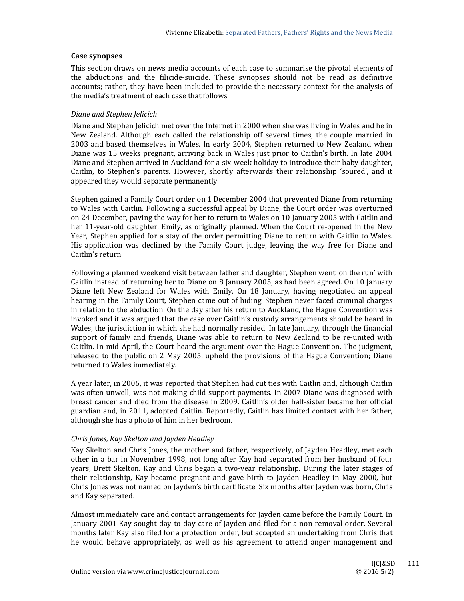#### **Case synopses**

This section draws on news media accounts of each case to summarise the pivotal elements of the abductions and the filicide-suicide. These synopses should not be read as definitive accounts; rather, they have been included to provide the necessary context for the analysis of the media's treatment of each case that follows.

## *Diane and Stephen Jelicich*

Diane and Stephen Jelicich met over the Internet in 2000 when she was living in Wales and he in New Zealand. Although each called the relationship off several times, the couple married in 2003 and based themselves in Wales. In early 2004, Stephen returned to New Zealand when Diane was 15 weeks pregnant, arriving back in Wales just prior to Caitlin's birth. In late 2004 Diane and Stephen arrived in Auckland for a six-week holiday to introduce their baby daughter, Caitlin, to Stephen's parents. However, shortly afterwards their relationship 'soured', and it appeared they would separate permanently.

Stephen gained a Family Court order on 1 December 2004 that prevented Diane from returning to Wales with Caitlin. Following a successful appeal by Diane, the Court order was overturned on 24 December, paving the way for her to return to Wales on 10 January 2005 with Caitlin and her 11-year-old daughter, Emily, as originally planned. When the Court re-opened in the New Year, Stephen applied for a stay of the order permitting Diane to return with Caitlin to Wales. His application was declined by the Family Court judge, leaving the way free for Diane and Caitlin's return.

Following a planned weekend visit between father and daughter, Stephen went 'on the run' with Caitlin instead of returning her to Diane on 8 January 2005, as had been agreed. On 10 January Diane left New Zealand for Wales with Emily. On 18 January, having negotiated an appeal hearing in the Family Court, Stephen came out of hiding. Stephen never faced criminal charges in relation to the abduction. On the day after his return to Auckland, the Hague Convention was invoked and it was argued that the case over Caitlin's custody arrangements should be heard in Wales, the jurisdiction in which she had normally resided. In late January, through the financial support of family and friends, Diane was able to return to New Zealand to be re-united with Caitlin. In mid-April, the Court heard the argument over the Hague Convention. The judgment, released to the public on 2 May 2005, upheld the provisions of the Hague Convention; Diane returned to Wales immediately.

A year later, in 2006, it was reported that Stephen had cut ties with Caitlin and, although Caitlin was often unwell, was not making child-support payments. In 2007 Diane was diagnosed with breast cancer and died from the disease in 2009. Caitlin's older half-sister became her official guardian and, in 2011, adopted Caitlin. Reportedly, Caitlin has limited contact with her father, although she has a photo of him in her bedroom.

## *Chris Jones, Kay Skelton and Jayden Headley*

Kay Skelton and Chris Jones, the mother and father, respectively, of Jayden Headley, met each other in a bar in November 1998, not long after Kay had separated from her husband of four years, Brett Skelton. Kay and Chris began a two-year relationship. During the later stages of their relationship, Kay became pregnant and gave birth to Jayden Headley in May 2000, but Chris Jones was not named on Jayden's birth certificate. Six months after Jayden was born, Chris and Kay separated.

Almost immediately care and contact arrangements for Jayden came before the Family Court. In January 2001 Kay sought day-to-day care of Jayden and filed for a non-removal order. Several months later Kay also filed for a protection order, but accepted an undertaking from Chris that he would behave appropriately, as well as his agreement to attend anger management and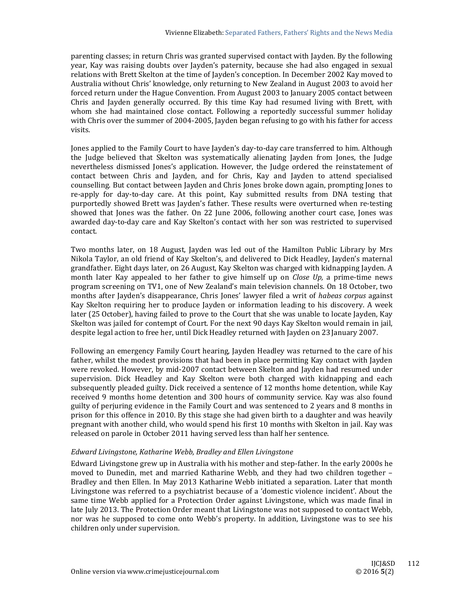parenting classes; in return Chris was granted supervised contact with Jayden. By the following year, Kay was raising doubts over Jayden's paternity, because she had also engaged in sexual relations with Brett Skelton at the time of Jayden's conception. In December 2002 Kay moved to Australia without Chris' knowledge, only returning to New Zealand in August 2003 to avoid her forced return under the Hague Convention. From August 2003 to January 2005 contact between Chris and Jayden generally occurred. By this time Kay had resumed living with Brett, with whom she had maintained close contact. Following a reportedly successful summer holiday with Chris over the summer of  $2004-2005$ , Jayden began refusing to go with his father for access visits. 

Jones applied to the Family Court to have Jayden's day-to-day care transferred to him. Although the Judge believed that Skelton was systematically alienating Jayden from Jones, the Judge nevertheless dismissed Jones's application. However, the Judge ordered the reinstatement of contact between Chris and Jayden, and for Chris, Kay and Jayden to attend specialised counselling. But contact between Jayden and Chris Jones broke down again, prompting Jones to re-apply for day-to-day care. At this point, Kay submitted results from DNA testing that purportedly showed Brett was Jayden's father. These results were overturned when re-testing showed that Jones was the father. On 22 June 2006, following another court case, Jones was awarded day-to-day care and Kay Skelton's contact with her son was restricted to supervised contact. 

Two months later, on 18 August, Jayden was led out of the Hamilton Public Library by Mrs Nikola Taylor, an old friend of Kay Skelton's, and delivered to Dick Headley, Jayden's maternal grandfather. Eight days later, on 26 August, Kay Skelton was charged with kidnapping Jayden. A month later Kay appealed to her father to give himself up on *Close Up*, a prime-time news program screening on TV1, one of New Zealand's main television channels. On 18 October, two months after Jayden's disappearance, Chris Jones' lawyer filed a writ of *habeas corpus* against Kay Skelton requiring her to produce Jayden or information leading to his discovery. A week later (25 October), having failed to prove to the Court that she was unable to locate Jayden, Kay Skelton was jailed for contempt of Court. For the next 90 days Kay Skelton would remain in jail, despite legal action to free her, until Dick Headley returned with Jayden on 23 January 2007.

Following an emergency Family Court hearing, Jayden Headley was returned to the care of his father, whilst the modest provisions that had been in place permitting Kay contact with Jayden were revoked. However, by mid-2007 contact between Skelton and Jayden had resumed under supervision. Dick Headley and Kay Skelton were both charged with kidnapping and each subsequently pleaded guilty. Dick received a sentence of 12 months home detention, while Kay received 9 months home detention and 300 hours of community service. Kay was also found guilty of perjuring evidence in the Family Court and was sentenced to 2 years and 8 months in prison for this offence in 2010. By this stage she had given birth to a daughter and was heavily pregnant with another child, who would spend his first 10 months with Skelton in jail. Kay was released on parole in October 2011 having served less than half her sentence.

## *Edward Livingstone, Katharine Webb, Bradley and Ellen Livingstone*

Edward Livingstone grew up in Australia with his mother and step-father. In the early 2000s he moved to Dunedin, met and married Katharine Webb, and they had two children together -Bradley and then Ellen. In May 2013 Katharine Webb initiated a separation. Later that month Livingstone was referred to a psychiatrist because of a 'domestic violence incident'. About the same time Webb applied for a Protection Order against Livingstone, which was made final in late July 2013. The Protection Order meant that Livingstone was not supposed to contact Webb, nor was he supposed to come onto Webb's property. In addition, Livingstone was to see his children only under supervision.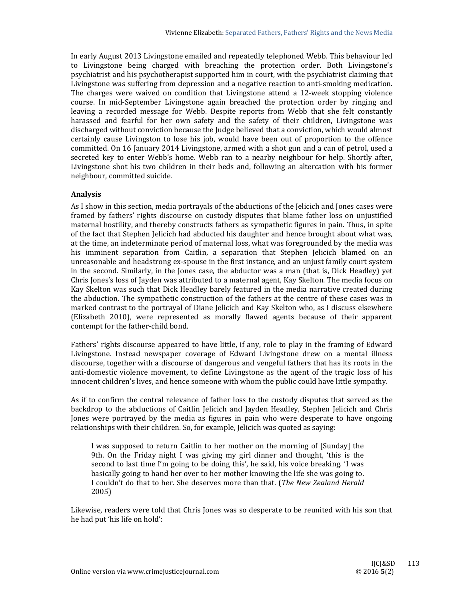In early August 2013 Livingstone emailed and repeatedly telephoned Webb. This behaviour led to Livingstone being charged with breaching the protection order. Both Livingstone's psychiatrist and his psychotherapist supported him in court, with the psychiatrist claiming that Livingstone was suffering from depression and a negative reaction to anti-smoking medication. The charges were waived on condition that Livingstone attend a 12-week stopping violence course. In mid-September Livingstone again breached the protection order by ringing and leaving a recorded message for Webb. Despite reports from Webb that she felt constantly harassed and fearful for her own safety and the safety of their children, Livingstone was discharged without conviction because the Judge believed that a conviction, which would almost certainly cause Livingston to lose his job, would have been out of proportion to the offence committed. On 16 January 2014 Livingstone, armed with a shot gun and a can of petrol, used a secreted key to enter Webb's home. Webb ran to a nearby neighbour for help. Shortly after, Livingstone shot his two children in their beds and, following an altercation with his former neighbour, committed suicide.

# **Analysis**

As I show in this section, media portrayals of the abductions of the Jelicich and Jones cases were framed by fathers' rights discourse on custody disputes that blame father loss on unjustified maternal hostility, and thereby constructs fathers as sympathetic figures in pain. Thus, in spite of the fact that Stephen Jelicich had abducted his daughter and hence brought about what was, at the time, an indeterminate period of maternal loss, what was foregrounded by the media was his imminent separation from Caitlin, a separation that Stephen Jelicich blamed on an unreasonable and headstrong ex-spouse in the first instance, and an unjust family court system in the second. Similarly, in the Jones case, the abductor was a man (that is, Dick Headley) yet Chris Jones's loss of Jayden was attributed to a maternal agent, Kay Skelton. The media focus on Kay Skelton was such that Dick Headley barely featured in the media narrative created during the abduction. The sympathetic construction of the fathers at the centre of these cases was in marked contrast to the portrayal of Diane Jelicich and Kay Skelton who, as I discuss elsewhere (Elizabeth 2010), were represented as morally flawed agents because of their apparent contempt for the father-child bond.

Fathers' rights discourse appeared to have little, if any, role to play in the framing of Edward Livingstone. Instead newspaper coverage of Edward Livingstone drew on a mental illness discourse, together with a discourse of dangerous and vengeful fathers that has its roots in the anti-domestic violence movement, to define Livingstone as the agent of the tragic loss of his innocent children's lives, and hence someone with whom the public could have little sympathy.

As if to confirm the central relevance of father loss to the custody disputes that served as the backdrop to the abductions of Caitlin Jelicich and Jayden Headley, Stephen Jelicich and Chris Jones were portrayed by the media as figures in pain who were desperate to have ongoing relationships with their children. So, for example, Jelicich was quoted as saying:

I was supposed to return Caitlin to her mother on the morning of [Sunday] the 9th. On the Friday night I was giving my girl dinner and thought, 'this is the second to last time I'm going to be doing this', he said, his voice breaking. 'I was basically going to hand her over to her mother knowing the life she was going to. I couldn't do that to her. She deserves more than that. (*The New Zealand Herald* 2005) 

Likewise, readers were told that Chris Jones was so desperate to be reunited with his son that he had put 'his life on hold':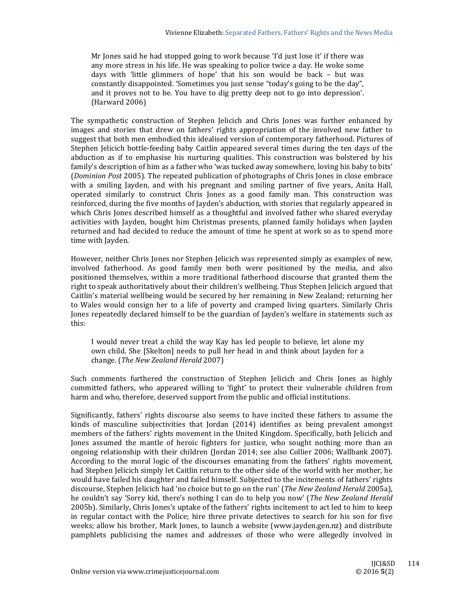Mr Jones said he had stopped going to work because 'I'd just lose it' if there was any more stress in his life. He was speaking to police twice a day. He woke some days with 'little glimmers of hope' that his son would be back - but was constantly disappointed. 'Sometimes you just sense "today's going to be the day", and it proves not to be. You have to dig pretty deep not to go into depression'.  $(Harward 2006)$ 

The sympathetic construction of Stephen Jelicich and Chris Jones was further enhanced by images and stories that drew on fathers' rights appropriation of the involved new father to suggest that both men embodied this idealised version of contemporary fatherhood. Pictures of Stephen Jelicich bottle-feeding baby Caitlin appeared several times during the ten days of the abduction as if to emphasise his nurturing qualities. This construction was bolstered by his family's description of him as a father who 'was tucked away somewhere, loving his baby to bits' (*Dominion Post* 2005). The repeated publication of photographs of Chris Jones in close embrace with a smiling Jayden, and with his pregnant and smiling partner of five years, Anita Hall, operated similarly to construct Chris Jones as a good family man. This construction was reinforced, during the five months of Jayden's abduction, with stories that regularly appeared in which Chris Jones described himself as a thoughtful and involved father who shared everyday activities with Jayden, bought him Christmas presents, planned family holidays when Jayden returned and had decided to reduce the amount of time he spent at work so as to spend more time with Jayden.

However, neither Chris Jones nor Stephen Jelicich was represented simply as examples of new, involved fatherhood. As good family men both were positioned by the media, and also positioned themselves, within a more traditional fatherhood discourse that granted them the right to speak authoritatively about their children's wellbeing. Thus Stephen Jelicich argued that Caitlin's material wellbeing would be secured by her remaining in New Zealand; returning her to Wales would consign her to a life of poverty and cramped living quarters. Similarly Chris Jones repeatedly declared himself to be the guardian of Jayden's welfare in statements such as this: 

I would never treat a child the way Kay has led people to believe, let alone my own child. She [Skelton] needs to pull her head in and think about Jayden for a change. (*The New Zealand Herald* 2007) 

Such comments furthered the construction of Stephen Jelicich and Chris Jones as highly committed fathers, who appeared willing to 'fight' to protect their vulnerable children from harm and who, therefore, deserved support from the public and official institutions.

Significantly, fathers' rights discourse also seems to have incited these fathers to assume the kinds of masculine subjectivities that  $\delta$  ordan  $(2014)$  identifies as being prevalent amongst members of the fathers' rights movement in the United Kingdom. Specifically, both Jelicich and Jones assumed the mantle of heroic fighters for justice, who sought nothing more than an ongoing relationship with their children (Jordan 2014; see also Collier 2006; Wallbank 2007). According to the moral logic of the discourses emanating from the fathers' rights movement, had Stephen Jelicich simply let Caitlin return to the other side of the world with her mother, he would have failed his daughter and failed himself. Subjected to the incitements of fathers' rights discourse, Stephen Jelicich had 'no choice but to go on the run' (The New Zealand Herald 2005a), he couldn't say 'Sorry kid, there's nothing I can do to help you now' (The New Zealand Herald 2005b). Similarly, Chris Jones's uptake of the fathers' rights incitement to act led to him to keep in regular contact with the Police; hire three private detectives to search for his son for five weeks; allow his brother, Mark Jones, to launch a website (www.jayden.gen.nz) and distribute pamphlets publicising the names and addresses of those who were allegedly involved in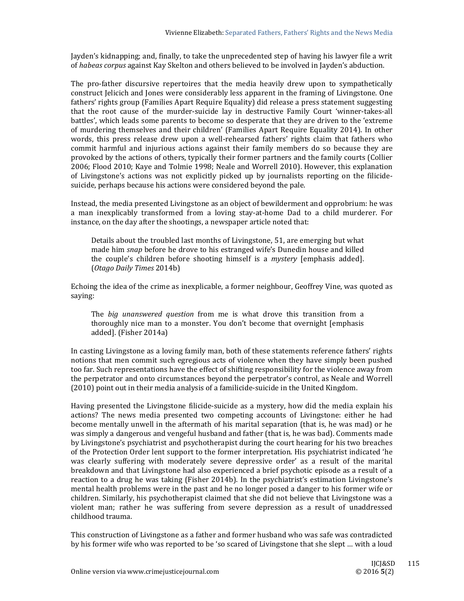Jayden's kidnapping; and, finally, to take the unprecedented step of having his lawyer file a writ of *habeas corpus* against Kay Skelton and others believed to be involved in Jayden's abduction.

The pro-father discursive repertoires that the media heavily drew upon to sympathetically construct Jelicich and Jones were considerably less apparent in the framing of Livingstone. One fathers' rights group (Families Apart Require Equality) did release a press statement suggesting that the root cause of the murder-suicide lay in destructive Family Court 'winner-takes-all battles', which leads some parents to become so desperate that they are driven to the 'extreme of murdering themselves and their children' (Families Apart Require Equality 2014). In other words, this press release drew upon a well-rehearsed fathers' rights claim that fathers who commit harmful and injurious actions against their family members do so because they are provoked by the actions of others, typically their former partners and the family courts (Collier 2006; Flood 2010; Kaye and Tolmie 1998; Neale and Worrell 2010). However, this explanation of Livingstone's actions was not explicitly picked up by journalists reporting on the filicidesuicide, perhaps because his actions were considered beyond the pale.

Instead, the media presented Livingstone as an object of bewilderment and opprobrium: he was a man inexplicably transformed from a loving stay-at-home Dad to a child murderer. For instance, on the day after the shootings, a newspaper article noted that:

Details about the troubled last months of Livingstone, 51, are emerging but what made him *snap* before he drove to his estranged wife's Dunedin house and killed the couple's children before shooting himself is a *mystery* [emphasis added]. (*Otago Daily Times* 2014b) 

Echoing the idea of the crime as inexplicable, a former neighbour, Geoffrey Vine, was quoted as saying: 

The *big unanswered question* from me is what drove this transition from a thoroughly nice man to a monster. You don't become that overnight [emphasis added]. (Fisher 2014a)

In casting Livingstone as a loving family man, both of these statements reference fathers' rights notions that men commit such egregious acts of violence when they have simply been pushed too far. Such representations have the effect of shifting responsibility for the violence away from the perpetrator and onto circumstances beyond the perpetrator's control, as Neale and Worrell (2010) point out in their media analysis of a familicide-suicide in the United Kingdom.

Having presented the Livingstone filicide-suicide as a mystery, how did the media explain his actions? The news media presented two competing accounts of Livingstone: either he had become mentally unwell in the aftermath of his marital separation (that is, he was mad) or he was simply a dangerous and vengeful husband and father (that is, he was bad). Comments made by Livingstone's psychiatrist and psychotherapist during the court hearing for his two breaches of the Protection Order lent support to the former interpretation. His psychiatrist indicated 'he was clearly suffering with moderately severe depressive order' as a result of the marital breakdown and that Livingstone had also experienced a brief psychotic episode as a result of a reaction to a drug he was taking (Fisher 2014b). In the psychiatrist's estimation Livingstone's mental health problems were in the past and he no longer posed a danger to his former wife or children. Similarly, his psychotherapist claimed that she did not believe that Livingstone was a violent man; rather he was suffering from severe depression as a result of unaddressed childhood trauma.

This construction of Livingstone as a father and former husband who was safe was contradicted by his former wife who was reported to be 'so scared of Livingstone that she slept ... with a loud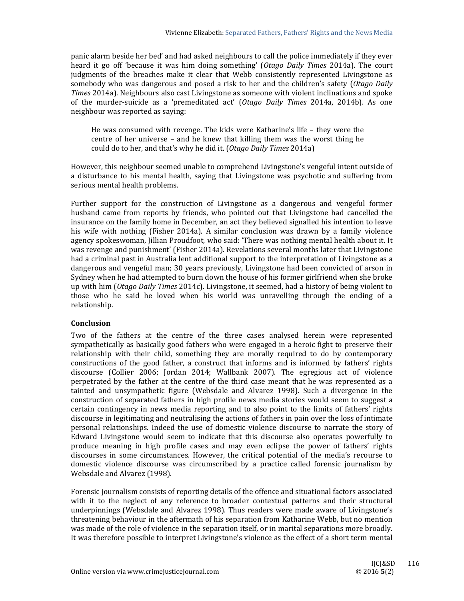panic alarm beside her bed' and had asked neighbours to call the police immediately if they ever heard it go off 'because it was him doing something' (*Otago Daily Times* 2014a). The court judgments of the breaches make it clear that Webb consistently represented Livingstone as somebody who was dangerous and posed a risk to her and the children's safety (*Otago Daily Times* 2014a). Neighbours also cast Livingstone as someone with violent inclinations and spoke of the murder-suicide as a 'premeditated act' (*Otago Daily Times* 2014a, 2014b). As one neighbour was reported as saying:

He was consumed with revenge. The kids were Katharine's life  $-$  they were the centre of her universe  $-$  and he knew that killing them was the worst thing he could do to her, and that's why he did it. (*Otago Daily Times* 2014a) 

However, this neighbour seemed unable to comprehend Livingstone's vengeful intent outside of a disturbance to his mental health, saying that Livingstone was psychotic and suffering from serious mental health problems.

Further support for the construction of Livingstone as a dangerous and vengeful former husband came from reports by friends, who pointed out that Livingstone had cancelled the insurance on the family home in December, an act they believed signalled his intention to leave his wife with nothing (Fisher 2014a). A similar conclusion was drawn by a family violence agency spokeswoman, Jillian Proudfoot, who said: 'There was nothing mental health about it. It was revenge and punishment' (Fisher 2014a). Revelations several months later that Livingstone had a criminal past in Australia lent additional support to the interpretation of Livingstone as a dangerous and vengeful man; 30 years previously, Livingstone had been convicted of arson in Sydney when he had attempted to burn down the house of his former girlfriend when she broke up with him (*Otago Daily Times* 2014c). Livingstone, it seemed, had a history of being violent to those who he said he loved when his world was unravelling through the ending of a relationship. 

## **Conclusion**

Two of the fathers at the centre of the three cases analysed herein were represented sympathetically as basically good fathers who were engaged in a heroic fight to preserve their relationship with their child, something they are morally required to do by contemporary constructions of the good father, a construct that informs and is informed by fathers' rights discourse  $(Collier 2006; Jordan 2014; Wallbank 2007)$ . The egregious act of violence perpetrated by the father at the centre of the third case meant that he was represented as a tainted and unsympathetic figure (Websdale and Alvarez 1998). Such a divergence in the construction of separated fathers in high profile news media stories would seem to suggest a certain contingency in news media reporting and to also point to the limits of fathers' rights discourse in legitimating and neutralising the actions of fathers in pain over the loss of intimate personal relationships. Indeed the use of domestic violence discourse to narrate the story of Edward Livingstone would seem to indicate that this discourse also operates powerfully to produce meaning in high profile cases and may even eclipse the power of fathers' rights discourses in some circumstances. However, the critical potential of the media's recourse to domestic violence discourse was circumscribed by a practice called forensic journalism by Websdale and Alvarez (1998).

Forensic journalism consists of reporting details of the offence and situational factors associated with it to the neglect of any reference to broader contextual patterns and their structural underpinnings (Websdale and Alvarez 1998). Thus readers were made aware of Livingstone's threatening behaviour in the aftermath of his separation from Katharine Webb, but no mention was made of the role of violence in the separation itself, or in marital separations more broadly. It was therefore possible to interpret Livingstone's violence as the effect of a short term mental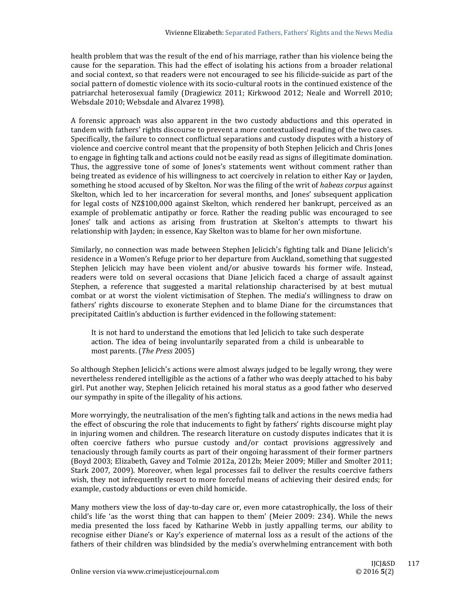health problem that was the result of the end of his marriage, rather than his violence being the cause for the separation. This had the effect of isolating his actions from a broader relational and social context, so that readers were not encouraged to see his filicide-suicide as part of the social pattern of domestic violence with its socio-cultural roots in the continued existence of the patriarchal heterosexual family (Dragiewicz 2011; Kirkwood 2012; Neale and Worrell 2010; Websdale 2010; Websdale and Alvarez 1998).

A forensic approach was also apparent in the two custody abductions and this operated in tandem with fathers' rights discourse to prevent a more contextualised reading of the two cases. Specifically, the failure to connect conflictual separations and custody disputes with a history of violence and coercive control meant that the propensity of both Stephen Jelicich and Chris Jones to engage in fighting talk and actions could not be easily read as signs of illegitimate domination. Thus, the aggressive tone of some of Jones's statements went without comment rather than being treated as evidence of his willingness to act coercively in relation to either Kay or Jayden, something he stood accused of by Skelton. Nor was the filing of the writ of *habeas corpus* against Skelton, which led to her incarceration for several months, and Jones' subsequent application for legal costs of NZ\$100,000 against Skelton, which rendered her bankrupt, perceived as an example of problematic antipathy or force. Rather the reading public was encouraged to see Jones' talk and actions as arising from frustration at Skelton's attempts to thwart his relationship with Jayden; in essence, Kay Skelton was to blame for her own misfortune.

Similarly, no connection was made between Stephen Jelicich's fighting talk and Diane Jelicich's residence in a Women's Refuge prior to her departure from Auckland, something that suggested Stephen Jelicich may have been violent and/or abusive towards his former wife. Instead, readers were told on several occasions that Diane Jelicich faced a charge of assault against Stephen, a reference that suggested a marital relationship characterised by at best mutual combat or at worst the violent victimisation of Stephen. The media's willingness to draw on fathers' rights discourse to exonerate Stephen and to blame Diane for the circumstances that precipitated Caitlin's abduction is further evidenced in the following statement:

It is not hard to understand the emotions that led Jelicich to take such desperate action. The idea of being involuntarily separated from a child is unbearable to most parents. (*The Press* 2005) 

So although Stephen Jelicich's actions were almost always judged to be legally wrong, they were nevertheless rendered intelligible as the actions of a father who was deeply attached to his baby girl. Put another way, Stephen Jelicich retained his moral status as a good father who deserved our sympathy in spite of the illegality of his actions.

More worryingly, the neutralisation of the men's fighting talk and actions in the news media had the effect of obscuring the role that inducements to fight by fathers' rights discourse might play in injuring women and children. The research literature on custody disputes indicates that it is often coercive fathers who pursue custody and/or contact provisions aggressively and tenaciously through family courts as part of their ongoing harassment of their former partners (Boyd 2003; Elizabeth, Gavey and Tolmie 2012a, 2012b; Meier 2009; Miller and Smolter 2011; Stark 2007, 2009). Moreover, when legal processes fail to deliver the results coercive fathers wish, they not infrequently resort to more forceful means of achieving their desired ends; for example, custody abductions or even child homicide.

Many mothers view the loss of day-to-day care or, even more catastrophically, the loss of their child's life 'as the worst thing that can happen to them' (Meier  $2009: 234$ ). While the news media presented the loss faced by Katharine Webb in justly appalling terms, our ability to recognise either Diane's or Kay's experience of maternal loss as a result of the actions of the fathers of their children was blindsided by the media's overwhelming entrancement with both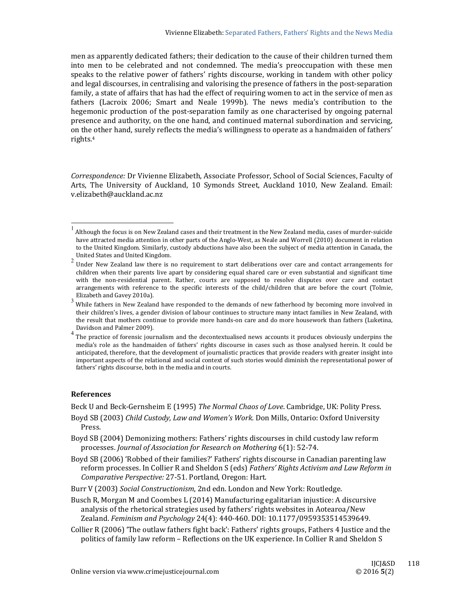men as apparently dedicated fathers; their dedication to the cause of their children turned them into men to be celebrated and not condemned. The media's preoccupation with these men speaks to the relative power of fathers' rights discourse, working in tandem with other policy and legal discourses, in centralising and valorising the presence of fathers in the post-separation family, a state of affairs that has had the effect of requiring women to act in the service of men as fathers (Lacroix 2006; Smart and Neale 1999b). The news media's contribution to the hegemonic production of the post-separation family as one characterised by ongoing paternal presence and authority, on the one hand, and continued maternal subordination and servicing, on the other hand, surely reflects the media's willingness to operate as a handmaiden of fathers' rights.4

Correspondence: Dr Vivienne Elizabeth, Associate Professor, School of Social Sciences, Faculty of Arts, The University of Auckland, 10 Symonds Street, Auckland 1010, New Zealand. Email: v.elizabeth@auckland.ac.nz 

#### **References**

 

Beck U and Beck-Gernsheim E (1995) *The Normal Chaos of Love*. Cambridge, UK: Polity Press.

- Boyd SB (2003) *Child Custody, Law and Women's Work*. Don Mills, Ontario: Oxford University Press.
- Boyd SB (2004) Demonizing mothers: Fathers' rights discourses in child custody law reform processes. *Journal of Association for Research on Mothering* 6(1): 52‐74.
- Boyd SB (2006) 'Robbed of their families?' Fathers' rights discourse in Canadian parenting law reform processes. In Collier R and Sheldon S (eds) *Fathers' Rights Activism and Law Reform in Comparative Perspective:* 27‐51. Portland, Oregon: Hart.
- Burr V (2003) *Social Constructionism*, 2nd edn. London and New York: Routledge.
- Busch R, Morgan M and Coombes L (2014) Manufacturing egalitarian injustice: A discursive analysis of the rhetorical strategies used by fathers' rights websites in Aotearoa/New Zealand. *Feminism and Psychology* 24(4): 440‐460. DOI: 10.1177/0959353514539649.
- Collier R (2006) 'The outlaw fathers fight back': Fathers' rights groups, Fathers 4 Justice and the politics of family law reform – Reflections on the UK experience. In Collier R and Sheldon S

<sup>1</sup> Although the focus is on New Zealand cases and their treatment in the New Zealand media, cases of murder-suicide have attracted media attention in other parts of the Anglo-West, as Neale and Worrell (2010) document in relation to the United Kingdom. Similarly, custody abductions have also been the subject of media attention in Canada, the United States and United Kingdom.

<sup>2</sup> Under New Zealand law there is no requirement to start deliberations over care and contact arrangements for children when their parents live apart by considering equal shared care or even substantial and significant time with the non-residential parent. Rather, courts are supposed to resolve disputes over care and contact arrangements with reference to the specific interests of the child/children that are before the court (Tolmie, Elizabeth and Gavey 2010a).

 $3$  While fathers in New Zealand have responded to the demands of new fatherhood by becoming more involved in their children's lives, a gender division of labour continues to structure many intact families in New Zealand, with the result that mothers continue to provide more hands-on care and do more housework than fathers (Luketina, Davidson and Palmer 2009).

 $\frac{4}{1}$  The practice of forensic journalism and the decontextualised news accounts it produces obviously underpins the media's role as the handmaiden of fathers' rights discourse in cases such as those analysed herein. It could be anticipated, therefore, that the development of journalistic practices that provide readers with greater insight into important aspects of the relational and social context of such stories would diminish the representational power of fathers' rights discourse, both in the media and in courts.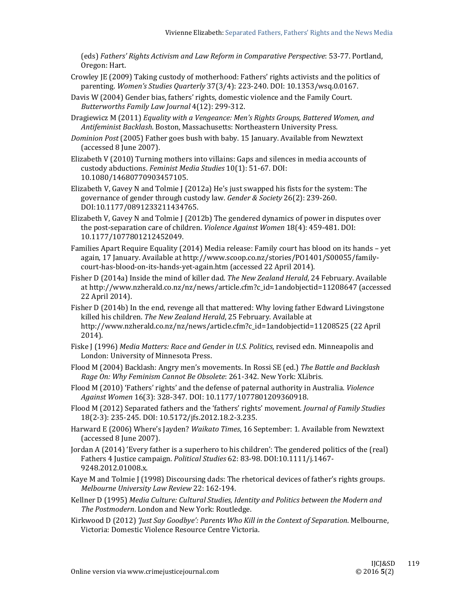(eds) *Fathers' Rights Activism and Law Reform in Comparative Perspective*: 53‐77. Portland, Oregon: Hart.

- Crowley JE (2009) Taking custody of motherhood: Fathers' rights activists and the politics of parenting. *Women's Studies Quarterly* 37(3/4): 223‐240. DOI: 10.1353/wsq.0.0167.
- Davis W (2004) Gender bias, fathers' rights, domestic violence and the Family Court. *Butterworths Family Law Journal* 4(12): 299‐312.
- Dragiewicz M (2011) *Equality with a Vengeance: Men's Rights Groups, Battered Women, and Antifeminist Backlash*. Boston, Massachusetts: Northeastern University Press.
- *Dominion Post* (2005) Father goes bush with baby. 15 January. Available from Newztext (accessed 8 June 2007).
- Elizabeth V (2010) Turning mothers into villains: Gaps and silences in media accounts of custody abductions. *Feminist Media Studies* 10(1): 51‐67. DOI: 10.1080/14680770903457105.
- Elizabeth V, Gavey N and Tolmie  $(2012a)$  He's just swapped his fists for the system: The governance of gender through custody law. *Gender & Society* 26(2): 239‐260. DOI:10.1177/0891233211434765.
- Elizabeth V, Gavey N and Tolmie  $\int$  (2012b) The gendered dynamics of power in disputes over the post-separation care of children. *Violence Against Women* 18(4): 459-481. DOI: 10.1177/1077801212452049.
- Families Apart Require Equality (2014) Media release: Family court has blood on its hands yet again, 17 January. Available at http://www.scoop.co.nz/stories/PO1401/S00055/familycourt-has-blood-on-its-hands-yet-again.htm (accessed 22 April 2014).
- Fisher D (2014a) Inside the mind of killer dad. The *New Zealand Herald*, 24 February. Available at http://www.nzherald.co.nz/nz/news/article.cfm?c\_id=1andobjectid=11208647 (accessed 22 April 2014).
- Fisher  $D(2014b)$  In the end, revenge all that mattered: Why loving father Edward Livingstone killed his children. The New Zealand Herald, 25 February. Available at http://www.nzherald.co.nz/nz/news/article.cfm?c\_id=1andobjectid=11208525 (22 April 2014).
- Fiske  $\int$  (1996) *Media Matters: Race and Gender in U.S. Politics, revised edn. Minneapolis and* London: University of Minnesota Press.
- Flood M (2004) Backlash: Angry men's movements. In Rossi SE (ed.) *The Battle and Backlash Rage On: Why Feminism Cannot Be Obsolete*: 261‐342. New York: XLibris.
- Flood M (2010) 'Fathers' rights' and the defense of paternal authority in Australia. *Violence Against Women* 16(3): 328‐347. DOI: 10.1177/1077801209360918.
- Flood M (2012) Separated fathers and the 'fathers' rights' movement. *Journal of Family Studies* 18(2-3): 235-245. DOI: 10.5172/jfs.2012.18.2-3.235.
- Harward E (2006) Where's Jayden? *Waikato Times*, 16 September: 1. Available from Newztext (accessed 8 June 2007).
- Jordan A (2014) 'Every father is a superhero to his children': The gendered politics of the (real) Fathers 4 Justice campaign. *Political Studies* 62: 83-98. DOI:10.1111/j.1467-9248.2012.01008.x.
- Kaye M and Tolmie J (1998) Discoursing dads: The rhetorical devices of father's rights groups. *Melbourne University Law Review* 22: 162‐194.
- Kellner D (1995) *Media Culture: Cultural Studies, Identity and Politics between the Modern and* The Postmodern. London and New York: Routledge.
- Kirkwood D (2012) *'Just Say Goodbye': Parents Who Kill in the Context of Separation*. Melbourne, Victoria: Domestic Violence Resource Centre Victoria.